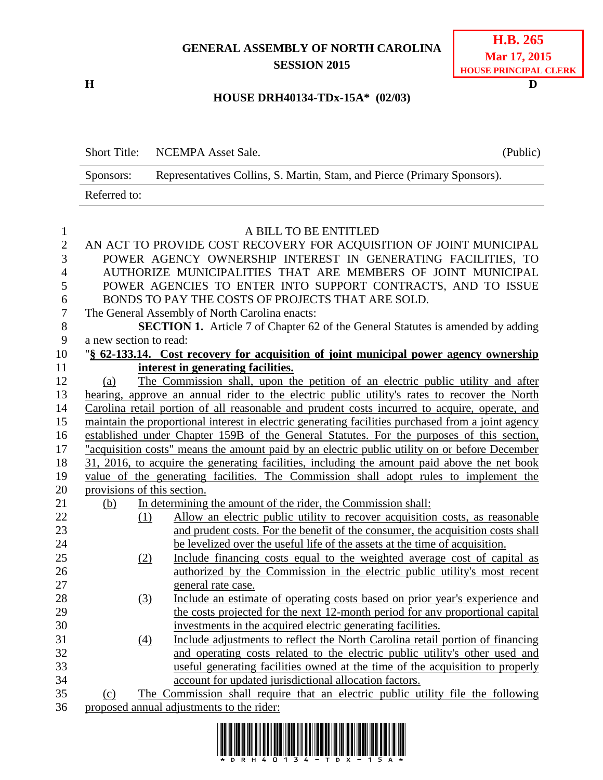# **GENERAL ASSEMBLY OF NORTH CAROLINA SESSION 2015**

**H D**

#### **HOUSE DRH40134-TDx-15A\* (02/03)**

|   |              | Short Title: NCEMPA Asset Sale.                                          | (Public) |
|---|--------------|--------------------------------------------------------------------------|----------|
|   | Sponsors:    | Representatives Collins, S. Martin, Stam, and Pierce (Primary Sponsors). |          |
|   | Referred to: |                                                                          |          |
|   |              |                                                                          |          |
|   |              | A BILL TO BE ENTITLED                                                    |          |
| 2 |              | AN ACT TO PROVIDE COST RECOVERY FOR ACQUISITION OF JOINT MUNICIPAL       |          |
| 3 |              | POWER AGENCY OWNERSHIP INTEREST IN GENERATING FACILITIES, TO             |          |
| 4 |              | AUTHORIZE MUNICIPALITIES THAT ARE MEMBERS OF JOINT MUNICIPAL             |          |
| 5 |              | POWER AGENCIES TO ENTER INTO SUPPORT CONTRACTS, AND TO ISSUE             |          |

BONDS TO PAY THE COSTS OF PROJECTS THAT ARE SOLD.

The General Assembly of North Carolina enacts:

**SECTION 1.** Article 7 of Chapter 62 of the General Statutes is amended by adding a new section to read:

| 10 |                                    |  | "§ 62-133.14. Cost recovery for acquisition of joint municipal power agency ownership |  |  |  |  |  |  |  |  |
|----|------------------------------------|--|---------------------------------------------------------------------------------------|--|--|--|--|--|--|--|--|
|    | interest in generating facilities. |  |                                                                                       |  |  |  |  |  |  |  |  |
| 12 |                                    |  | The Commission shall, upon the petition of an electric public utility and after       |  |  |  |  |  |  |  |  |

 hearing, approve an annual rider to the electric public utility's rates to recover the North Carolina retail portion of all reasonable and prudent costs incurred to acquire, operate, and maintain the proportional interest in electric generating facilities purchased from a joint agency established under Chapter 159B of the General Statutes. For the purposes of this section, "acquisition costs" means the amount paid by an electric public utility on or before December 31, 2016, to acquire the generating facilities, including the amount paid above the net book value of the generating facilities. The Commission shall adopt rules to implement the provisions of this section.

- (b) In determining the amount of the rider, the Commission shall:
- (1) Allow an electric public utility to recover acquisition costs, as reasonable and prudent costs. For the benefit of the consumer, the acquisition costs shall be levelized over the useful life of the assets at the time of acquisition.
- (2) Include financing costs equal to the weighted average cost of capital as authorized by the Commission in the electric public utility's most recent general rate case.
- (3) Include an estimate of operating costs based on prior year's experience and the costs projected for the next 12-month period for any proportional capital investments in the acquired electric generating facilities.
- (4) Include adjustments to reflect the North Carolina retail portion of financing and operating costs related to the electric public utility's other used and useful generating facilities owned at the time of the acquisition to properly account for updated jurisdictional allocation factors.

 (c) The Commission shall require that an electric public utility file the following proposed annual adjustments to the rider:

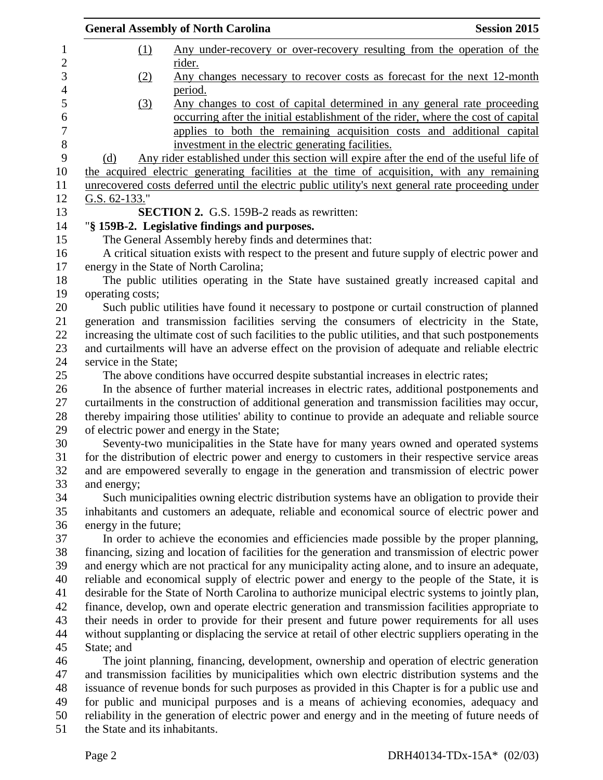|                                | <b>General Assembly of North Carolina</b>                                           | <b>Session 2015</b>                                                                                                                                                                                                                     |
|--------------------------------|-------------------------------------------------------------------------------------|-----------------------------------------------------------------------------------------------------------------------------------------------------------------------------------------------------------------------------------------|
| <u>(1)</u>                     | rider.                                                                              | Any under-recovery or over-recovery resulting from the operation of the                                                                                                                                                                 |
| (2)                            | period.                                                                             | Any changes necessary to recover costs as forecast for the next 12-month                                                                                                                                                                |
| (3)                            | investment in the electric generating facilities.                                   | Any changes to cost of capital determined in any general rate proceeding<br>occurring after the initial establishment of the rider, where the cost of capital<br>applies to both the remaining acquisition costs and additional capital |
| (d)                            |                                                                                     | Any rider established under this section will expire after the end of the useful life of                                                                                                                                                |
|                                |                                                                                     | the acquired electric generating facilities at the time of acquisition, with any remaining<br>unrecovered costs deferred until the electric public utility's next general rate proceeding under                                         |
| G.S. $62-133$ ."               |                                                                                     |                                                                                                                                                                                                                                         |
|                                | <b>SECTION 2.</b> G.S. 159B-2 reads as rewritten:                                   |                                                                                                                                                                                                                                         |
|                                | "§ 159B-2. Legislative findings and purposes.                                       |                                                                                                                                                                                                                                         |
|                                | The General Assembly hereby finds and determines that:                              |                                                                                                                                                                                                                                         |
|                                | energy in the State of North Carolina;                                              | A critical situation exists with respect to the present and future supply of electric power and                                                                                                                                         |
|                                |                                                                                     | The public utilities operating in the State have sustained greatly increased capital and                                                                                                                                                |
| operating costs;               |                                                                                     |                                                                                                                                                                                                                                         |
|                                |                                                                                     | Such public utilities have found it necessary to postpone or curtail construction of planned                                                                                                                                            |
|                                |                                                                                     | generation and transmission facilities serving the consumers of electricity in the State,                                                                                                                                               |
|                                |                                                                                     | increasing the ultimate cost of such facilities to the public utilities, and that such postponements                                                                                                                                    |
|                                |                                                                                     | and curtailments will have an adverse effect on the provision of adequate and reliable electric                                                                                                                                         |
| service in the State;          |                                                                                     |                                                                                                                                                                                                                                         |
|                                | The above conditions have occurred despite substantial increases in electric rates; |                                                                                                                                                                                                                                         |
|                                |                                                                                     | In the absence of further material increases in electric rates, additional postponements and<br>curtailments in the construction of additional generation and transmission facilities may occur,                                        |
|                                |                                                                                     | thereby impairing those utilities' ability to continue to provide an adequate and reliable source                                                                                                                                       |
|                                | of electric power and energy in the State;                                          |                                                                                                                                                                                                                                         |
|                                |                                                                                     | Seventy-two municipalities in the State have for many years owned and operated systems<br>for the distribution of electric power and energy to customers in their respective service areas                                              |
|                                |                                                                                     | and are empowered severally to engage in the generation and transmission of electric power                                                                                                                                              |
| and energy;                    |                                                                                     |                                                                                                                                                                                                                                         |
|                                |                                                                                     | Such municipalities owning electric distribution systems have an obligation to provide their                                                                                                                                            |
|                                |                                                                                     | inhabitants and customers an adequate, reliable and economical source of electric power and                                                                                                                                             |
| energy in the future;          |                                                                                     |                                                                                                                                                                                                                                         |
|                                |                                                                                     | In order to achieve the economies and efficiencies made possible by the proper planning,                                                                                                                                                |
|                                |                                                                                     | financing, sizing and location of facilities for the generation and transmission of electric power                                                                                                                                      |
|                                |                                                                                     | and energy which are not practical for any municipality acting alone, and to insure an adequate,                                                                                                                                        |
|                                |                                                                                     | reliable and economical supply of electric power and energy to the people of the State, it is                                                                                                                                           |
|                                |                                                                                     | desirable for the State of North Carolina to authorize municipal electric systems to jointly plan,                                                                                                                                      |
|                                |                                                                                     | finance, develop, own and operate electric generation and transmission facilities appropriate to                                                                                                                                        |
|                                |                                                                                     | their needs in order to provide for their present and future power requirements for all uses                                                                                                                                            |
|                                |                                                                                     | without supplanting or displacing the service at retail of other electric suppliers operating in the                                                                                                                                    |
| State; and                     |                                                                                     |                                                                                                                                                                                                                                         |
|                                |                                                                                     | The joint planning, financing, development, ownership and operation of electric generation                                                                                                                                              |
|                                |                                                                                     | and transmission facilities by municipalities which own electric distribution systems and the                                                                                                                                           |
|                                |                                                                                     | issuance of revenue bonds for such purposes as provided in this Chapter is for a public use and                                                                                                                                         |
|                                |                                                                                     | for public and municipal purposes and is a means of achieving economies, adequacy and                                                                                                                                                   |
|                                |                                                                                     | reliability in the generation of electric power and energy and in the meeting of future needs of                                                                                                                                        |
| the State and its inhabitants. |                                                                                     |                                                                                                                                                                                                                                         |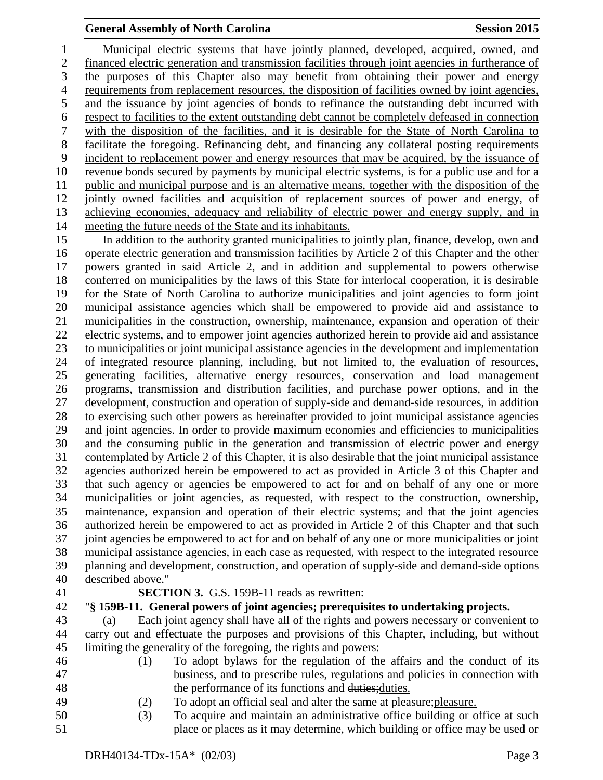Municipal electric systems that have jointly planned, developed, acquired, owned, and financed electric generation and transmission facilities through joint agencies in furtherance of the purposes of this Chapter also may benefit from obtaining their power and energy requirements from replacement resources, the disposition of facilities owned by joint agencies, and the issuance by joint agencies of bonds to refinance the outstanding debt incurred with respect to facilities to the extent outstanding debt cannot be completely defeased in connection with the disposition of the facilities, and it is desirable for the State of North Carolina to facilitate the foregoing. Refinancing debt, and financing any collateral posting requirements incident to replacement power and energy resources that may be acquired, by the issuance of revenue bonds secured by payments by municipal electric systems, is for a public use and for a public and municipal purpose and is an alternative means, together with the disposition of the jointly owned facilities and acquisition of replacement sources of power and energy, of achieving economies, adequacy and reliability of electric power and energy supply, and in meeting the future needs of the State and its inhabitants.

 In addition to the authority granted municipalities to jointly plan, finance, develop, own and operate electric generation and transmission facilities by Article 2 of this Chapter and the other powers granted in said Article 2, and in addition and supplemental to powers otherwise conferred on municipalities by the laws of this State for interlocal cooperation, it is desirable for the State of North Carolina to authorize municipalities and joint agencies to form joint municipal assistance agencies which shall be empowered to provide aid and assistance to municipalities in the construction, ownership, maintenance, expansion and operation of their electric systems, and to empower joint agencies authorized herein to provide aid and assistance to municipalities or joint municipal assistance agencies in the development and implementation of integrated resource planning, including, but not limited to, the evaluation of resources, generating facilities, alternative energy resources, conservation and load management programs, transmission and distribution facilities, and purchase power options, and in the development, construction and operation of supply-side and demand-side resources, in addition to exercising such other powers as hereinafter provided to joint municipal assistance agencies and joint agencies. In order to provide maximum economies and efficiencies to municipalities and the consuming public in the generation and transmission of electric power and energy contemplated by Article 2 of this Chapter, it is also desirable that the joint municipal assistance agencies authorized herein be empowered to act as provided in Article 3 of this Chapter and that such agency or agencies be empowered to act for and on behalf of any one or more municipalities or joint agencies, as requested, with respect to the construction, ownership, maintenance, expansion and operation of their electric systems; and that the joint agencies authorized herein be empowered to act as provided in Article 2 of this Chapter and that such joint agencies be empowered to act for and on behalf of any one or more municipalities or joint municipal assistance agencies, in each case as requested, with respect to the integrated resource planning and development, construction, and operation of supply-side and demand-side options described above."

#### **SECTION 3.** G.S. 159B-11 reads as rewritten:

## "**§ 159B-11. General powers of joint agencies; prerequisites to undertaking projects.**

 (a) Each joint agency shall have all of the rights and powers necessary or convenient to carry out and effectuate the purposes and provisions of this Chapter, including, but without limiting the generality of the foregoing, the rights and powers:

- (1) To adopt bylaws for the regulation of the affairs and the conduct of its
- business, and to prescribe rules, regulations and policies in connection with
- the performance of its functions and duties;duties.
- 
- 49 (2) To adopt an official seal and alter the same at pleasure; pleasure.
- (3) To acquire and maintain an administrative office building or office at such place or places as it may determine, which building or office may be used or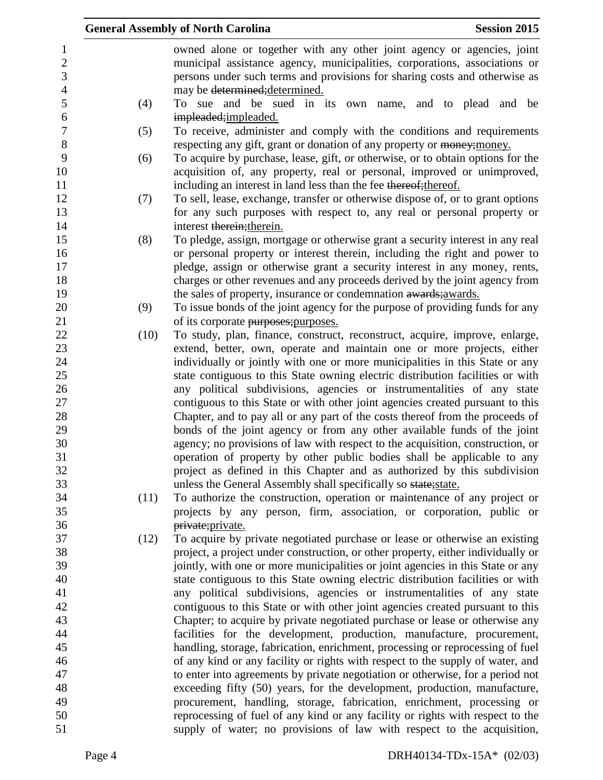|                  |      | <b>General Assembly of North Carolina</b>                                                                                                                       | <b>Session 2015</b> |  |
|------------------|------|-----------------------------------------------------------------------------------------------------------------------------------------------------------------|---------------------|--|
| $\mathbf{1}$     |      | owned alone or together with any other joint agency or agencies, joint                                                                                          |                     |  |
| $\boldsymbol{2}$ |      | municipal assistance agency, municipalities, corporations, associations or                                                                                      |                     |  |
| 3                |      | persons under such terms and provisions for sharing costs and otherwise as                                                                                      |                     |  |
| $\overline{4}$   |      | may be determined; determined.                                                                                                                                  |                     |  |
| 5                | (4)  | To sue and be sued in its own name, and to plead and be                                                                                                         |                     |  |
| 6                |      | impleaded; impleaded.                                                                                                                                           |                     |  |
| $\overline{7}$   | (5)  | To receive, administer and comply with the conditions and requirements                                                                                          |                     |  |
| 8                |      | respecting any gift, grant or donation of any property or money; money.                                                                                         |                     |  |
| 9                | (6)  | To acquire by purchase, lease, gift, or otherwise, or to obtain options for the                                                                                 |                     |  |
| 10               |      | acquisition of, any property, real or personal, improved or unimproved,                                                                                         |                     |  |
| 11               |      | including an interest in land less than the fee thereof; thereof.                                                                                               |                     |  |
| 12               | (7)  | To sell, lease, exchange, transfer or otherwise dispose of, or to grant options                                                                                 |                     |  |
| 13               |      | for any such purposes with respect to, any real or personal property or                                                                                         |                     |  |
| 14               |      | interest therein; therein.                                                                                                                                      |                     |  |
| 15               | (8)  | To pledge, assign, mortgage or otherwise grant a security interest in any real                                                                                  |                     |  |
| 16               |      | or personal property or interest therein, including the right and power to                                                                                      |                     |  |
| 17               |      | pledge, assign or otherwise grant a security interest in any money, rents,                                                                                      |                     |  |
| 18               |      | charges or other revenues and any proceeds derived by the joint agency from                                                                                     |                     |  |
| 19               |      | the sales of property, insurance or condemnation awards; awards.                                                                                                |                     |  |
| 20               | (9)  | To issue bonds of the joint agency for the purpose of providing funds for any                                                                                   |                     |  |
| 21               |      | of its corporate purposes; purposes.                                                                                                                            |                     |  |
| 22               | (10) | To study, plan, finance, construct, reconstruct, acquire, improve, enlarge,                                                                                     |                     |  |
| 23               |      | extend, better, own, operate and maintain one or more projects, either                                                                                          |                     |  |
| 24               |      | individually or jointly with one or more municipalities in this State or any                                                                                    |                     |  |
| 25               |      | state contiguous to this State owning electric distribution facilities or with                                                                                  |                     |  |
| 26               |      | any political subdivisions, agencies or instrumentalities of any state                                                                                          |                     |  |
| 27               |      | contiguous to this State or with other joint agencies created pursuant to this                                                                                  |                     |  |
| 28               |      | Chapter, and to pay all or any part of the costs thereof from the proceeds of                                                                                   |                     |  |
| 29               |      | bonds of the joint agency or from any other available funds of the joint                                                                                        |                     |  |
| 30               |      | agency; no provisions of law with respect to the acquisition, construction, or                                                                                  |                     |  |
| 31               |      | operation of property by other public bodies shall be applicable to any                                                                                         |                     |  |
| 32               |      | project as defined in this Chapter and as authorized by this subdivision                                                                                        |                     |  |
| 33               |      | unless the General Assembly shall specifically so state; state.                                                                                                 |                     |  |
| 34               | (11) | To authorize the construction, operation or maintenance of any project or                                                                                       |                     |  |
| 35               |      | projects by any person, firm, association, or corporation, public or                                                                                            |                     |  |
| 36<br>37         |      | private; private.                                                                                                                                               |                     |  |
| 38               | (12) | To acquire by private negotiated purchase or lease or otherwise an existing<br>project, a project under construction, or other property, either individually or |                     |  |
| 39               |      | jointly, with one or more municipalities or joint agencies in this State or any                                                                                 |                     |  |
| 40               |      | state contiguous to this State owning electric distribution facilities or with                                                                                  |                     |  |
| 41               |      | any political subdivisions, agencies or instrumentalities of any state                                                                                          |                     |  |
| 42               |      | contiguous to this State or with other joint agencies created pursuant to this                                                                                  |                     |  |
| 43               |      | Chapter; to acquire by private negotiated purchase or lease or otherwise any                                                                                    |                     |  |
| 44               |      | facilities for the development, production, manufacture, procurement,                                                                                           |                     |  |
| 45               |      | handling, storage, fabrication, enrichment, processing or reprocessing of fuel                                                                                  |                     |  |
| 46               |      | of any kind or any facility or rights with respect to the supply of water, and                                                                                  |                     |  |
| 47               |      | to enter into agreements by private negotiation or otherwise, for a period not                                                                                  |                     |  |
| 48               |      | exceeding fifty (50) years, for the development, production, manufacture,                                                                                       |                     |  |
| 49               |      | procurement, handling, storage, fabrication, enrichment, processing or                                                                                          |                     |  |
| 50               |      | reprocessing of fuel of any kind or any facility or rights with respect to the                                                                                  |                     |  |
| 51               |      | supply of water; no provisions of law with respect to the acquisition,                                                                                          |                     |  |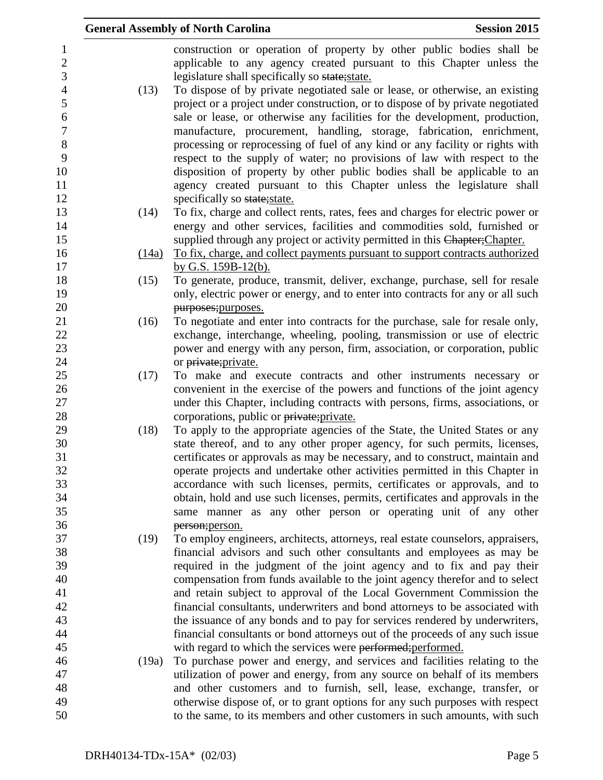|          |       | <b>General Assembly of North Carolina</b>                                                                                                                       | <b>Session 2015</b> |
|----------|-------|-----------------------------------------------------------------------------------------------------------------------------------------------------------------|---------------------|
|          |       | construction or operation of property by other public bodies shall be<br>applicable to any agency created pursuant to this Chapter unless the                   |                     |
| 3        |       | legislature shall specifically so state; state.                                                                                                                 |                     |
|          | (13)  | To dispose of by private negotiated sale or lease, or otherwise, an existing<br>project or a project under construction, or to dispose of by private negotiated |                     |
|          |       | sale or lease, or otherwise any facilities for the development, production,                                                                                     |                     |
|          |       | manufacture, procurement, handling, storage, fabrication, enrichment,                                                                                           |                     |
|          |       | processing or reprocessing of fuel of any kind or any facility or rights with                                                                                   |                     |
|          |       | respect to the supply of water; no provisions of law with respect to the                                                                                        |                     |
|          |       | disposition of property by other public bodies shall be applicable to an                                                                                        |                     |
|          |       | agency created pursuant to this Chapter unless the legislature shall                                                                                            |                     |
|          | (14)  | specifically so state; state.<br>To fix, charge and collect rents, rates, fees and charges for electric power or                                                |                     |
| 14       |       | energy and other services, facilities and commodities sold, furnished or                                                                                        |                     |
|          |       | supplied through any project or activity permitted in this Chapter; Chapter.                                                                                    |                     |
| 16       | (14a) | To fix, charge, and collect payments pursuant to support contracts authorized                                                                                   |                     |
|          |       | by G.S. $159B-12(b)$ .                                                                                                                                          |                     |
| 18       | (15)  | To generate, produce, transmit, deliver, exchange, purchase, sell for resale                                                                                    |                     |
| 19       |       | only, electric power or energy, and to enter into contracts for any or all such                                                                                 |                     |
| 20       |       | purposes; purposes.                                                                                                                                             |                     |
|          | (16)  | To negotiate and enter into contracts for the purchase, sale for resale only,                                                                                   |                     |
| 22       |       | exchange, interchange, wheeling, pooling, transmission or use of electric                                                                                       |                     |
| 23       |       | power and energy with any person, firm, association, or corporation, public                                                                                     |                     |
| 24<br>25 | (17)  | or private; private.<br>To make and execute contracts and other instruments necessary or                                                                        |                     |
| 26       |       | convenient in the exercise of the powers and functions of the joint agency                                                                                      |                     |
| 27       |       | under this Chapter, including contracts with persons, firms, associations, or                                                                                   |                     |
| 28       |       | corporations, public or private; private.                                                                                                                       |                     |
| 29       | (18)  | To apply to the appropriate agencies of the State, the United States or any                                                                                     |                     |
| 30       |       | state thereof, and to any other proper agency, for such permits, licenses,                                                                                      |                     |
|          |       | certificates or approvals as may be necessary, and to construct, maintain and                                                                                   |                     |
|          |       | operate projects and undertake other activities permitted in this Chapter in                                                                                    |                     |
|          |       | accordance with such licenses, permits, certificates or approvals, and to                                                                                       |                     |
| 34       |       | obtain, hold and use such licenses, permits, certificates and approvals in the                                                                                  |                     |
| 35       |       | same manner as any other person or operating unit of any other                                                                                                  |                     |
| 36<br>37 | (19)  | person; person.<br>To employ engineers, architects, attorneys, real estate counselors, appraisers,                                                              |                     |
| 38       |       | financial advisors and such other consultants and employees as may be                                                                                           |                     |
| 39       |       | required in the judgment of the joint agency and to fix and pay their                                                                                           |                     |
|          |       | compensation from funds available to the joint agency therefor and to select                                                                                    |                     |
|          |       | and retain subject to approval of the Local Government Commission the                                                                                           |                     |
| 42       |       | financial consultants, underwriters and bond attorneys to be associated with                                                                                    |                     |
| 43       |       | the issuance of any bonds and to pay for services rendered by underwriters,                                                                                     |                     |
| 44       |       | financial consultants or bond attorneys out of the proceeds of any such issue                                                                                   |                     |
|          |       | with regard to which the services were performed; performed.                                                                                                    |                     |
| 46       | (19a) | To purchase power and energy, and services and facilities relating to the                                                                                       |                     |
|          |       | utilization of power and energy, from any source on behalf of its members                                                                                       |                     |
| 48       |       | and other customers and to furnish, sell, lease, exchange, transfer, or                                                                                         |                     |
|          |       | otherwise dispose of, or to grant options for any such purposes with respect                                                                                    |                     |
| 50       |       | to the same, to its members and other customers in such amounts, with such                                                                                      |                     |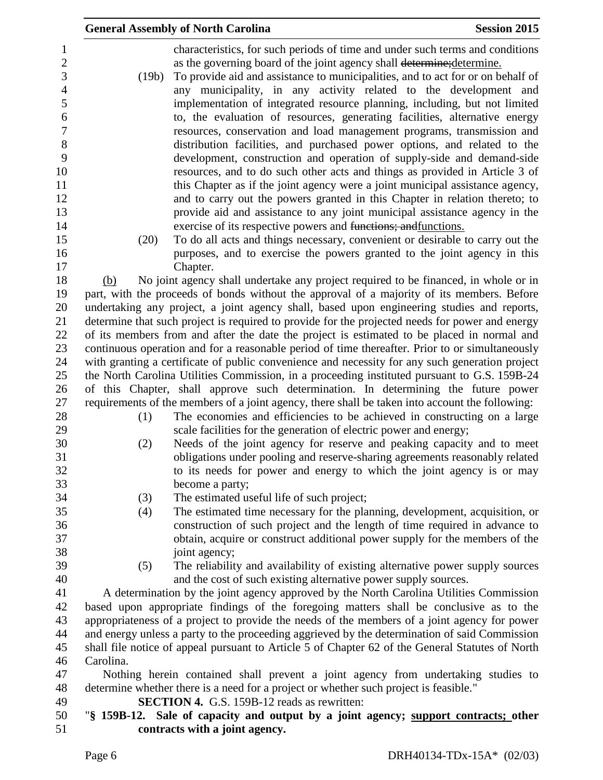|                     |           | <b>General Assembly of North Carolina</b>                                                                                                                                                          | <b>Session 2015</b> |
|---------------------|-----------|----------------------------------------------------------------------------------------------------------------------------------------------------------------------------------------------------|---------------------|
| 1<br>$\overline{2}$ |           | characteristics, for such periods of time and under such terms and conditions<br>as the governing board of the joint agency shall determine; determine.                                            |                     |
| 3<br>$\overline{4}$ | (19b)     | To provide aid and assistance to municipalities, and to act for or on behalf of<br>any municipality, in any activity related to the development and                                                |                     |
| 5                   |           | implementation of integrated resource planning, including, but not limited                                                                                                                         |                     |
| 6                   |           | to, the evaluation of resources, generating facilities, alternative energy                                                                                                                         |                     |
| $\overline{7}$      |           | resources, conservation and load management programs, transmission and                                                                                                                             |                     |
| 8<br>9              |           | distribution facilities, and purchased power options, and related to the<br>development, construction and operation of supply-side and demand-side                                                 |                     |
| 10                  |           | resources, and to do such other acts and things as provided in Article 3 of                                                                                                                        |                     |
| 11                  |           | this Chapter as if the joint agency were a joint municipal assistance agency,                                                                                                                      |                     |
| 12                  |           | and to carry out the powers granted in this Chapter in relation thereto; to                                                                                                                        |                     |
| 13                  |           | provide aid and assistance to any joint municipal assistance agency in the                                                                                                                         |                     |
| 14                  |           | exercise of its respective powers and functions; and functions.                                                                                                                                    |                     |
| 15                  | (20)      | To do all acts and things necessary, convenient or desirable to carry out the                                                                                                                      |                     |
| 16<br>17            |           | purposes, and to exercise the powers granted to the joint agency in this<br>Chapter.                                                                                                               |                     |
| 18                  | (b)       | No joint agency shall undertake any project required to be financed, in whole or in                                                                                                                |                     |
| 19                  |           | part, with the proceeds of bonds without the approval of a majority of its members. Before                                                                                                         |                     |
| 20                  |           | undertaking any project, a joint agency shall, based upon engineering studies and reports,                                                                                                         |                     |
| 21                  |           | determine that such project is required to provide for the projected needs for power and energy                                                                                                    |                     |
| 22                  |           | of its members from and after the date the project is estimated to be placed in normal and                                                                                                         |                     |
| 23<br>24            |           | continuous operation and for a reasonable period of time thereafter. Prior to or simultaneously<br>with granting a certificate of public convenience and necessity for any such generation project |                     |
| 25                  |           | the North Carolina Utilities Commission, in a proceeding instituted pursuant to G.S. 159B-24                                                                                                       |                     |
| 26                  |           | of this Chapter, shall approve such determination. In determining the future power                                                                                                                 |                     |
| 27                  |           | requirements of the members of a joint agency, there shall be taken into account the following:                                                                                                    |                     |
| 28                  | (1)       | The economies and efficiencies to be achieved in constructing on a large                                                                                                                           |                     |
| 29                  |           | scale facilities for the generation of electric power and energy;                                                                                                                                  |                     |
| 30                  | (2)       | Needs of the joint agency for reserve and peaking capacity and to meet                                                                                                                             |                     |
| 31<br>32            |           | obligations under pooling and reserve-sharing agreements reasonably related<br>to its needs for power and energy to which the joint agency is or may                                               |                     |
| 33                  |           | become a party;                                                                                                                                                                                    |                     |
| 34                  | (3)       | The estimated useful life of such project;                                                                                                                                                         |                     |
| 35                  | (4)       | The estimated time necessary for the planning, development, acquisition, or                                                                                                                        |                     |
| 36                  |           | construction of such project and the length of time required in advance to                                                                                                                         |                     |
| 37                  |           | obtain, acquire or construct additional power supply for the members of the                                                                                                                        |                     |
| 38<br>39            |           | joint agency;<br>The reliability and availability of existing alternative power supply sources                                                                                                     |                     |
| 40                  | (5)       | and the cost of such existing alternative power supply sources.                                                                                                                                    |                     |
| 41                  |           | A determination by the joint agency approved by the North Carolina Utilities Commission                                                                                                            |                     |
| 42                  |           | based upon appropriate findings of the foregoing matters shall be conclusive as to the                                                                                                             |                     |
| 43                  |           | appropriateness of a project to provide the needs of the members of a joint agency for power                                                                                                       |                     |
| 44                  |           | and energy unless a party to the proceeding aggrieved by the determination of said Commission                                                                                                      |                     |
| 45                  |           | shall file notice of appeal pursuant to Article 5 of Chapter 62 of the General Statutes of North                                                                                                   |                     |
| 46<br>47            | Carolina. |                                                                                                                                                                                                    |                     |
| 48                  |           | Nothing herein contained shall prevent a joint agency from undertaking studies to<br>determine whether there is a need for a project or whether such project is feasible."                         |                     |
| 49                  |           | <b>SECTION 4.</b> G.S. 159B-12 reads as rewritten:                                                                                                                                                 |                     |
| 50                  |           | "\\$ 159B-12. Sale of capacity and output by a joint agency; support contracts; other                                                                                                              |                     |
| 51                  |           | contracts with a joint agency.                                                                                                                                                                     |                     |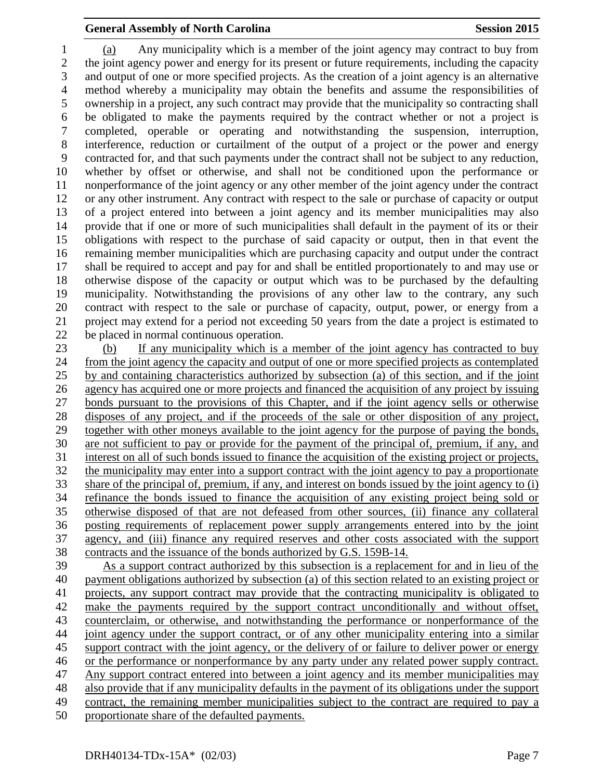(a) Any municipality which is a member of the joint agency may contract to buy from the joint agency power and energy for its present or future requirements, including the capacity and output of one or more specified projects. As the creation of a joint agency is an alternative method whereby a municipality may obtain the benefits and assume the responsibilities of ownership in a project, any such contract may provide that the municipality so contracting shall be obligated to make the payments required by the contract whether or not a project is completed, operable or operating and notwithstanding the suspension, interruption, interference, reduction or curtailment of the output of a project or the power and energy contracted for, and that such payments under the contract shall not be subject to any reduction, whether by offset or otherwise, and shall not be conditioned upon the performance or nonperformance of the joint agency or any other member of the joint agency under the contract or any other instrument. Any contract with respect to the sale or purchase of capacity or output of a project entered into between a joint agency and its member municipalities may also provide that if one or more of such municipalities shall default in the payment of its or their obligations with respect to the purchase of said capacity or output, then in that event the remaining member municipalities which are purchasing capacity and output under the contract shall be required to accept and pay for and shall be entitled proportionately to and may use or otherwise dispose of the capacity or output which was to be purchased by the defaulting municipality. Notwithstanding the provisions of any other law to the contrary, any such contract with respect to the sale or purchase of capacity, output, power, or energy from a project may extend for a period not exceeding 50 years from the date a project is estimated to be placed in normal continuous operation.

 (b) If any municipality which is a member of the joint agency has contracted to buy from the joint agency the capacity and output of one or more specified projects as contemplated by and containing characteristics authorized by subsection (a) of this section, and if the joint agency has acquired one or more projects and financed the acquisition of any project by issuing bonds pursuant to the provisions of this Chapter, and if the joint agency sells or otherwise disposes of any project, and if the proceeds of the sale or other disposition of any project, together with other moneys available to the joint agency for the purpose of paying the bonds, are not sufficient to pay or provide for the payment of the principal of, premium, if any, and interest on all of such bonds issued to finance the acquisition of the existing project or projects, the municipality may enter into a support contract with the joint agency to pay a proportionate share of the principal of, premium, if any, and interest on bonds issued by the joint agency to (i) refinance the bonds issued to finance the acquisition of any existing project being sold or otherwise disposed of that are not defeased from other sources, (ii) finance any collateral posting requirements of replacement power supply arrangements entered into by the joint agency, and (iii) finance any required reserves and other costs associated with the support contracts and the issuance of the bonds authorized by G.S. 159B-14.

 As a support contract authorized by this subsection is a replacement for and in lieu of the payment obligations authorized by subsection (a) of this section related to an existing project or projects, any support contract may provide that the contracting municipality is obligated to make the payments required by the support contract unconditionally and without offset, counterclaim, or otherwise, and notwithstanding the performance or nonperformance of the joint agency under the support contract, or of any other municipality entering into a similar support contract with the joint agency, or the delivery of or failure to deliver power or energy or the performance or nonperformance by any party under any related power supply contract. Any support contract entered into between a joint agency and its member municipalities may also provide that if any municipality defaults in the payment of its obligations under the support contract, the remaining member municipalities subject to the contract are required to pay a proportionate share of the defaulted payments.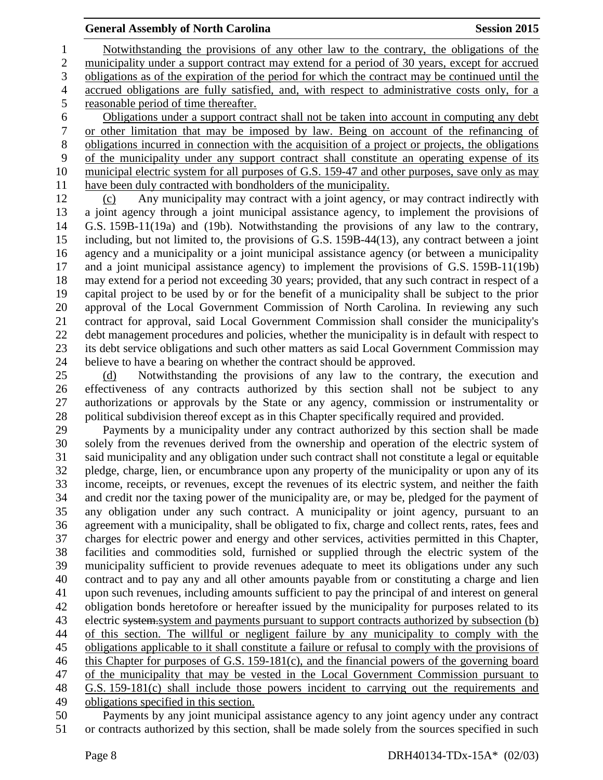Notwithstanding the provisions of any other law to the contrary, the obligations of the municipality under a support contract may extend for a period of 30 years, except for accrued obligations as of the expiration of the period for which the contract may be continued until the accrued obligations are fully satisfied, and, with respect to administrative costs only, for a reasonable period of time thereafter. Obligations under a support contract shall not be taken into account in computing any debt

 or other limitation that may be imposed by law. Being on account of the refinancing of obligations incurred in connection with the acquisition of a project or projects, the obligations of the municipality under any support contract shall constitute an operating expense of its municipal electric system for all purposes of G.S. 159-47 and other purposes, save only as may have been duly contracted with bondholders of the municipality.

 (c) Any municipality may contract with a joint agency, or may contract indirectly with a joint agency through a joint municipal assistance agency, to implement the provisions of G.S. 159B-11(19a) and (19b). Notwithstanding the provisions of any law to the contrary, including, but not limited to, the provisions of G.S. 159B-44(13), any contract between a joint agency and a municipality or a joint municipal assistance agency (or between a municipality and a joint municipal assistance agency) to implement the provisions of G.S. 159B-11(19b) may extend for a period not exceeding 30 years; provided, that any such contract in respect of a capital project to be used by or for the benefit of a municipality shall be subject to the prior approval of the Local Government Commission of North Carolina. In reviewing any such contract for approval, said Local Government Commission shall consider the municipality's debt management procedures and policies, whether the municipality is in default with respect to its debt service obligations and such other matters as said Local Government Commission may believe to have a bearing on whether the contract should be approved.

 (d) Notwithstanding the provisions of any law to the contrary, the execution and effectiveness of any contracts authorized by this section shall not be subject to any authorizations or approvals by the State or any agency, commission or instrumentality or political subdivision thereof except as in this Chapter specifically required and provided.

 Payments by a municipality under any contract authorized by this section shall be made solely from the revenues derived from the ownership and operation of the electric system of said municipality and any obligation under such contract shall not constitute a legal or equitable pledge, charge, lien, or encumbrance upon any property of the municipality or upon any of its income, receipts, or revenues, except the revenues of its electric system, and neither the faith and credit nor the taxing power of the municipality are, or may be, pledged for the payment of any obligation under any such contract. A municipality or joint agency, pursuant to an agreement with a municipality, shall be obligated to fix, charge and collect rents, rates, fees and charges for electric power and energy and other services, activities permitted in this Chapter, facilities and commodities sold, furnished or supplied through the electric system of the municipality sufficient to provide revenues adequate to meet its obligations under any such contract and to pay any and all other amounts payable from or constituting a charge and lien upon such revenues, including amounts sufficient to pay the principal of and interest on general obligation bonds heretofore or hereafter issued by the municipality for purposes related to its 43 electric system system and payments pursuant to support contracts authorized by subsection (b) of this section. The willful or negligent failure by any municipality to comply with the obligations applicable to it shall constitute a failure or refusal to comply with the provisions of this Chapter for purposes of G.S. 159-181(c), and the financial powers of the governing board of the municipality that may be vested in the Local Government Commission pursuant to G.S. 159-181(c) shall include those powers incident to carrying out the requirements and obligations specified in this section.

 Payments by any joint municipal assistance agency to any joint agency under any contract or contracts authorized by this section, shall be made solely from the sources specified in such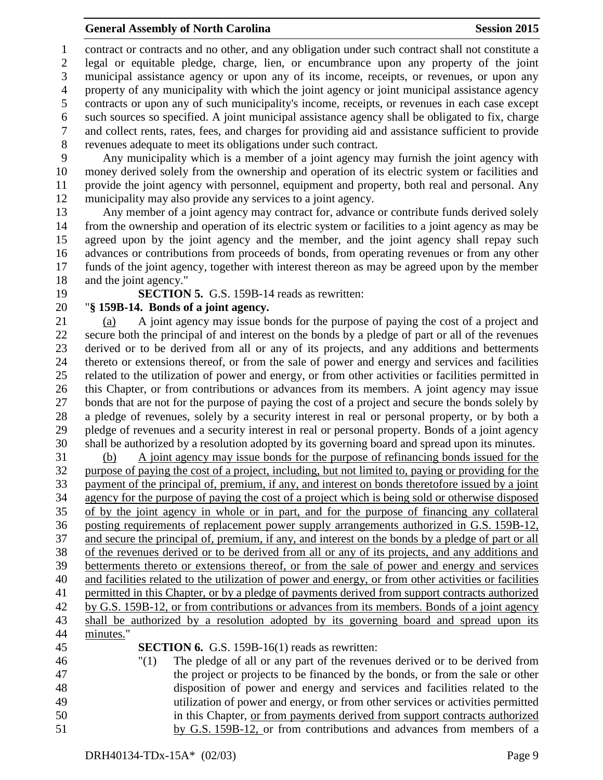contract or contracts and no other, and any obligation under such contract shall not constitute a legal or equitable pledge, charge, lien, or encumbrance upon any property of the joint municipal assistance agency or upon any of its income, receipts, or revenues, or upon any property of any municipality with which the joint agency or joint municipal assistance agency contracts or upon any of such municipality's income, receipts, or revenues in each case except such sources so specified. A joint municipal assistance agency shall be obligated to fix, charge and collect rents, rates, fees, and charges for providing aid and assistance sufficient to provide revenues adequate to meet its obligations under such contract.

 Any municipality which is a member of a joint agency may furnish the joint agency with money derived solely from the ownership and operation of its electric system or facilities and provide the joint agency with personnel, equipment and property, both real and personal. Any municipality may also provide any services to a joint agency.

 Any member of a joint agency may contract for, advance or contribute funds derived solely from the ownership and operation of its electric system or facilities to a joint agency as may be agreed upon by the joint agency and the member, and the joint agency shall repay such advances or contributions from proceeds of bonds, from operating revenues or from any other funds of the joint agency, together with interest thereon as may be agreed upon by the member and the joint agency."

#### **SECTION 5.** G.S. 159B-14 reads as rewritten:

#### "**§ 159B-14. Bonds of a joint agency.**

 (a) A joint agency may issue bonds for the purpose of paying the cost of a project and secure both the principal of and interest on the bonds by a pledge of part or all of the revenues derived or to be derived from all or any of its projects, and any additions and betterments thereto or extensions thereof, or from the sale of power and energy and services and facilities related to the utilization of power and energy, or from other activities or facilities permitted in this Chapter, or from contributions or advances from its members. A joint agency may issue bonds that are not for the purpose of paying the cost of a project and secure the bonds solely by a pledge of revenues, solely by a security interest in real or personal property, or by both a pledge of revenues and a security interest in real or personal property. Bonds of a joint agency shall be authorized by a resolution adopted by its governing board and spread upon its minutes.

 (b) A joint agency may issue bonds for the purpose of refinancing bonds issued for the purpose of paying the cost of a project, including, but not limited to, paying or providing for the payment of the principal of, premium, if any, and interest on bonds theretofore issued by a joint agency for the purpose of paying the cost of a project which is being sold or otherwise disposed of by the joint agency in whole or in part, and for the purpose of financing any collateral posting requirements of replacement power supply arrangements authorized in G.S. 159B-12, and secure the principal of, premium, if any, and interest on the bonds by a pledge of part or all of the revenues derived or to be derived from all or any of its projects, and any additions and betterments thereto or extensions thereof, or from the sale of power and energy and services and facilities related to the utilization of power and energy, or from other activities or facilities 41 permitted in this Chapter, or by a pledge of payments derived from support contracts authorized by G.S. 159B-12, or from contributions or advances from its members. Bonds of a joint agency shall be authorized by a resolution adopted by its governing board and spread upon its minutes." **SECTION 6.** G.S. 159B-16(1) reads as rewritten:

 "(1) The pledge of all or any part of the revenues derived or to be derived from the project or projects to be financed by the bonds, or from the sale or other disposition of power and energy and services and facilities related to the utilization of power and energy, or from other services or activities permitted in this Chapter, or from payments derived from support contracts authorized by G.S. 159B-12, or from contributions and advances from members of a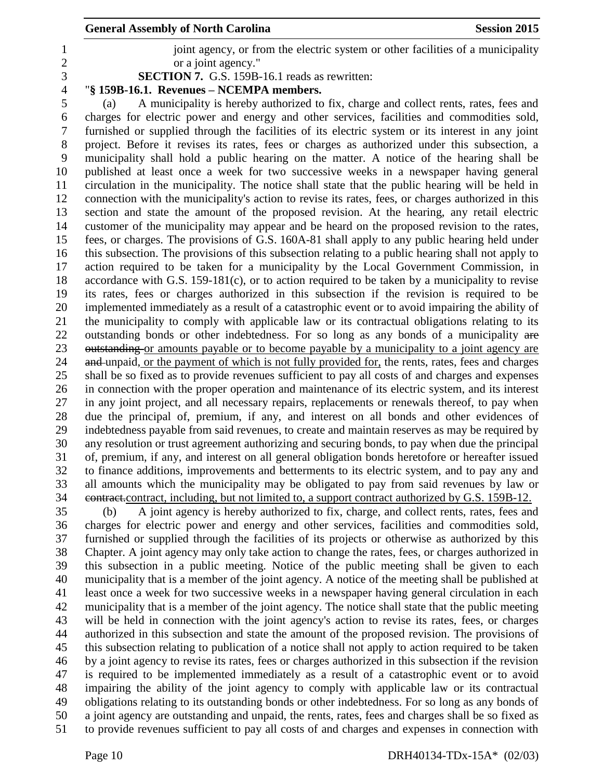1 joint agency, or from the electric system or other facilities of a municipality or a joint agency."

**SECTION 7.** G.S. 159B-16.1 reads as rewritten:

## "**§ 159B-16.1. Revenues – NCEMPA members.**

 (a) A municipality is hereby authorized to fix, charge and collect rents, rates, fees and charges for electric power and energy and other services, facilities and commodities sold, furnished or supplied through the facilities of its electric system or its interest in any joint project. Before it revises its rates, fees or charges as authorized under this subsection, a municipality shall hold a public hearing on the matter. A notice of the hearing shall be published at least once a week for two successive weeks in a newspaper having general circulation in the municipality. The notice shall state that the public hearing will be held in connection with the municipality's action to revise its rates, fees, or charges authorized in this section and state the amount of the proposed revision. At the hearing, any retail electric customer of the municipality may appear and be heard on the proposed revision to the rates, fees, or charges. The provisions of G.S. 160A-81 shall apply to any public hearing held under this subsection. The provisions of this subsection relating to a public hearing shall not apply to action required to be taken for a municipality by the Local Government Commission, in accordance with G.S. 159-181(c), or to action required to be taken by a municipality to revise its rates, fees or charges authorized in this subsection if the revision is required to be implemented immediately as a result of a catastrophic event or to avoid impairing the ability of the municipality to comply with applicable law or its contractual obligations relating to its 22 outstanding bonds or other indebtedness. For so long as any bonds of a municipality are 23 outstanding or amounts payable or to become payable by a municipality to a joint agency are 24 and unpaid, or the payment of which is not fully provided for, the rents, rates, fees and charges shall be so fixed as to provide revenues sufficient to pay all costs of and charges and expenses in connection with the proper operation and maintenance of its electric system, and its interest in any joint project, and all necessary repairs, replacements or renewals thereof, to pay when due the principal of, premium, if any, and interest on all bonds and other evidences of indebtedness payable from said revenues, to create and maintain reserves as may be required by any resolution or trust agreement authorizing and securing bonds, to pay when due the principal of, premium, if any, and interest on all general obligation bonds heretofore or hereafter issued to finance additions, improvements and betterments to its electric system, and to pay any and all amounts which the municipality may be obligated to pay from said revenues by law or contract.contract, including, but not limited to, a support contract authorized by G.S. 159B-12.

 (b) A joint agency is hereby authorized to fix, charge, and collect rents, rates, fees and charges for electric power and energy and other services, facilities and commodities sold, furnished or supplied through the facilities of its projects or otherwise as authorized by this Chapter. A joint agency may only take action to change the rates, fees, or charges authorized in this subsection in a public meeting. Notice of the public meeting shall be given to each municipality that is a member of the joint agency. A notice of the meeting shall be published at least once a week for two successive weeks in a newspaper having general circulation in each municipality that is a member of the joint agency. The notice shall state that the public meeting will be held in connection with the joint agency's action to revise its rates, fees, or charges authorized in this subsection and state the amount of the proposed revision. The provisions of this subsection relating to publication of a notice shall not apply to action required to be taken by a joint agency to revise its rates, fees or charges authorized in this subsection if the revision is required to be implemented immediately as a result of a catastrophic event or to avoid impairing the ability of the joint agency to comply with applicable law or its contractual obligations relating to its outstanding bonds or other indebtedness. For so long as any bonds of a joint agency are outstanding and unpaid, the rents, rates, fees and charges shall be so fixed as to provide revenues sufficient to pay all costs of and charges and expenses in connection with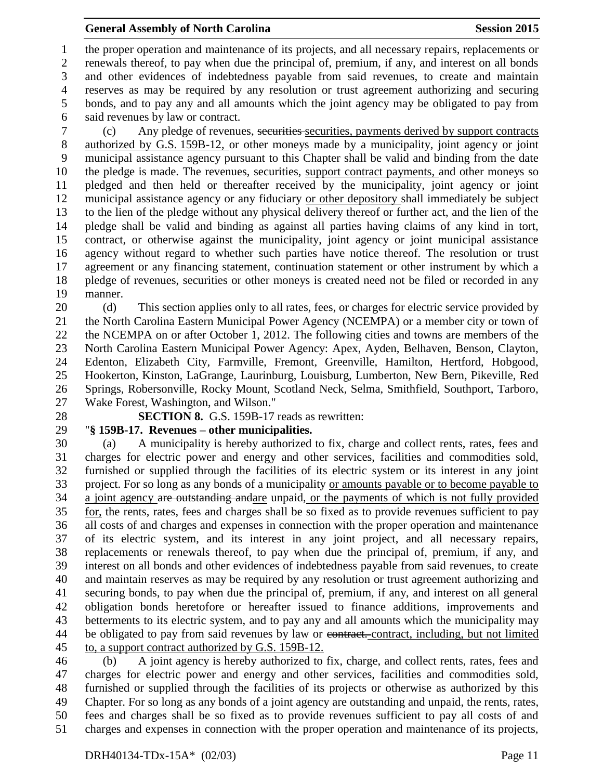the proper operation and maintenance of its projects, and all necessary repairs, replacements or renewals thereof, to pay when due the principal of, premium, if any, and interest on all bonds and other evidences of indebtedness payable from said revenues, to create and maintain reserves as may be required by any resolution or trust agreement authorizing and securing bonds, and to pay any and all amounts which the joint agency may be obligated to pay from said revenues by law or contract.

 (c) Any pledge of revenues, securities securities, payments derived by support contracts authorized by G.S. 159B-12, or other moneys made by a municipality, joint agency or joint municipal assistance agency pursuant to this Chapter shall be valid and binding from the date the pledge is made. The revenues, securities, support contract payments, and other moneys so pledged and then held or thereafter received by the municipality, joint agency or joint municipal assistance agency or any fiduciary or other depository shall immediately be subject to the lien of the pledge without any physical delivery thereof or further act, and the lien of the pledge shall be valid and binding as against all parties having claims of any kind in tort, contract, or otherwise against the municipality, joint agency or joint municipal assistance agency without regard to whether such parties have notice thereof. The resolution or trust agreement or any financing statement, continuation statement or other instrument by which a pledge of revenues, securities or other moneys is created need not be filed or recorded in any manner.

 (d) This section applies only to all rates, fees, or charges for electric service provided by the North Carolina Eastern Municipal Power Agency (NCEMPA) or a member city or town of the NCEMPA on or after October 1, 2012. The following cities and towns are members of the North Carolina Eastern Municipal Power Agency: Apex, Ayden, Belhaven, Benson, Clayton, Edenton, Elizabeth City, Farmville, Fremont, Greenville, Hamilton, Hertford, Hobgood, Hookerton, Kinston, LaGrange, Laurinburg, Louisburg, Lumberton, New Bern, Pikeville, Red Springs, Robersonville, Rocky Mount, Scotland Neck, Selma, Smithfield, Southport, Tarboro, Wake Forest, Washington, and Wilson."

- 
- 

**SECTION 8.** G.S. 159B-17 reads as rewritten:

## "**§ 159B-17. Revenues – other municipalities.**

 (a) A municipality is hereby authorized to fix, charge and collect rents, rates, fees and charges for electric power and energy and other services, facilities and commodities sold, furnished or supplied through the facilities of its electric system or its interest in any joint project. For so long as any bonds of a municipality or amounts payable or to become payable to 34 a joint agency are outstanding andare unpaid, or the payments of which is not fully provided for, the rents, rates, fees and charges shall be so fixed as to provide revenues sufficient to pay all costs of and charges and expenses in connection with the proper operation and maintenance of its electric system, and its interest in any joint project, and all necessary repairs, replacements or renewals thereof, to pay when due the principal of, premium, if any, and interest on all bonds and other evidences of indebtedness payable from said revenues, to create and maintain reserves as may be required by any resolution or trust agreement authorizing and securing bonds, to pay when due the principal of, premium, if any, and interest on all general obligation bonds heretofore or hereafter issued to finance additions, improvements and betterments to its electric system, and to pay any and all amounts which the municipality may 44 be obligated to pay from said revenues by law or contract. contract, including, but not limited to, a support contract authorized by G.S. 159B-12.

 (b) A joint agency is hereby authorized to fix, charge, and collect rents, rates, fees and charges for electric power and energy and other services, facilities and commodities sold, furnished or supplied through the facilities of its projects or otherwise as authorized by this Chapter. For so long as any bonds of a joint agency are outstanding and unpaid, the rents, rates, fees and charges shall be so fixed as to provide revenues sufficient to pay all costs of and charges and expenses in connection with the proper operation and maintenance of its projects,